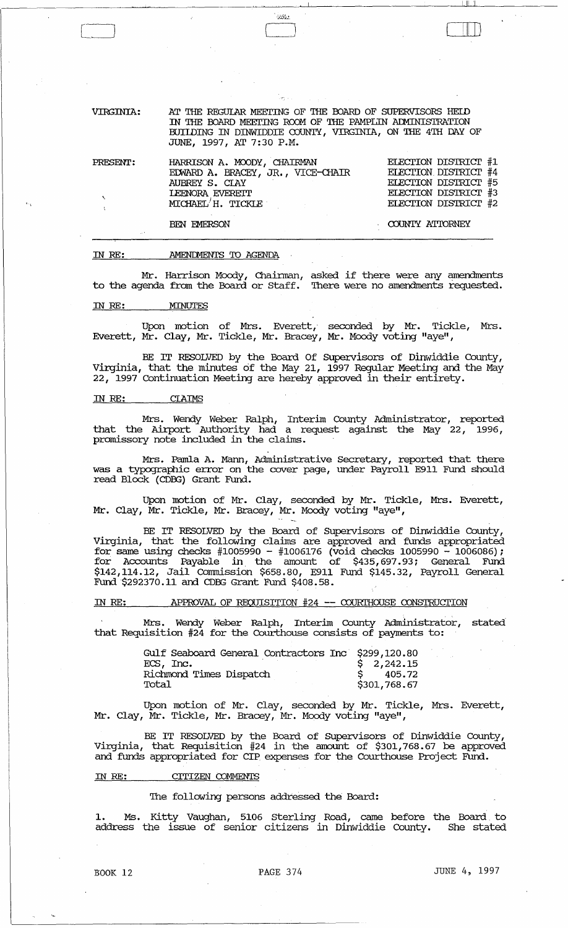VIRGINIA: AT THE REGULAR MEETING OF THE BOARD OF SUPERVISORS HELD IN THE BOARD MEETING ROOM OF THE PAMPLIN ADMINISTRATION BUIIDING IN DINWIDDIE COUNTY, VIRGINIA, ON THE 4TH DAY OF JUNE, 1997, AT 7:30 P.M.

 $\sim 55$ 

| PRESENT: | HARRISON A. MOODY, CHAIRMAN<br>EDWARD A. BRACEY, JR., VICE-CHAIR<br>AUBREY S. CLAY<br><b>LEENORA EVERETT</b><br>MICHAEL'H. TICKLE | ELECTION DISTRICT #1<br>ELECTION DISTRICT #4<br>ELECTION DISTRICT #5<br>ELECTION DISTRICT #3<br>ELECTION DISTRICT #2 |
|----------|-----------------------------------------------------------------------------------------------------------------------------------|----------------------------------------------------------------------------------------------------------------------|
|          | <b>BEN EMERSON</b>                                                                                                                | COUNTY ATTORNEY                                                                                                      |

#### rn *RE:*  AMENIMENTS TO AGENDA

Mr. Harrison Moody, Chainnan, asked if there were any amendments to the agenda from the Board or Staff. There were no amendments requested.

#### rn *RE:* MINUTES

[~

Upon motion of Mrs. Everett, seconded by Mr. Tickle, Mrs. Everett, Mr. Clay, Mr. Tickle, Mr. Bracey, Mr. Moody voting "aye",

BE IT RESOLVED by the Board Of supervisors of Dinwiddie County, Virginia, that the minutes of the May 21, 1997 Regular Meeting and the May 22, 1997 Continuation Meeting are hereby approved in their entirety.

#### rn *RE:*  CIAIMS

Mrs. Wendy Weber Ralph, Interim County Administrator, reported that the Airport Authority had a request against the May 22, 1996, promissory note included in the claims.

Mrs. Pamla A. Mann, Administrative Secretary, reported that there was a typographic error on the cover page, under Payroll E911 Fund should read Block (CDEG) Grant Fund.

Upon motion of Mr. Clay, seconded by Mr. Tickle, Mrs. Everett, Mr. Clay, Mr. Tickle, Mr. Bracey, Mr. Moody voting "aye",

BE IT RESOLVED by the Board of supervisors of Dinwiddie County, Virginia, that the following claims are approved and funds appropriated for same using checks  $#1005990 - #1006176$  (void checks 1005990 - 1006086); for Accounts Payable in. the amount of \$435, 697.93; General Fund \$142,114.12, Jail Cormnission \$658.80, E911 Fund \$145.32, Payroll General Fund \$292370.11 and CDEG Grant Fund \$408.58.

#### IN RE: APPROVAL OF REQUISITION #24 -- COURTHOUSE CONSTRUCTION

Mrs. Wendy Weber Ralph, Interim County Administrator, stated that Requisition #24 for the Courthouse consists of payments to:

| Gulf Seaboard General Contractors Inc \$299,120.80 |              |
|----------------------------------------------------|--------------|
| ECS, Inc.                                          | \$2,242.15   |
| Richmond Times Dispatch                            | 405.72       |
| Total                                              | \$301,768.67 |

Upon motion of Mr. Clay, seconded by Mr. Tickle, Mrs. Everett, Mr. Clay, Mr. Tickle, Mr. Bracey, Mr. Moody voting "aye",

BE IT RESOLVED by the Board of SUpervisors of Dinwiddie County, Virginia, that Requisition #24 in the amount of \$301,768.67 be approved and funds appropriated for CIP expenses for the Courthouse Project Fund.

## IN RE: CITIZEN COMMENTS

# The following persons addressed the Board:

1. Ms. Kitty Vaughan, 5106 Sterling Road, came before the Board. to address the issue of senior citizens in Dinwiddie County. She stated

ا تسالحه

 $\Box$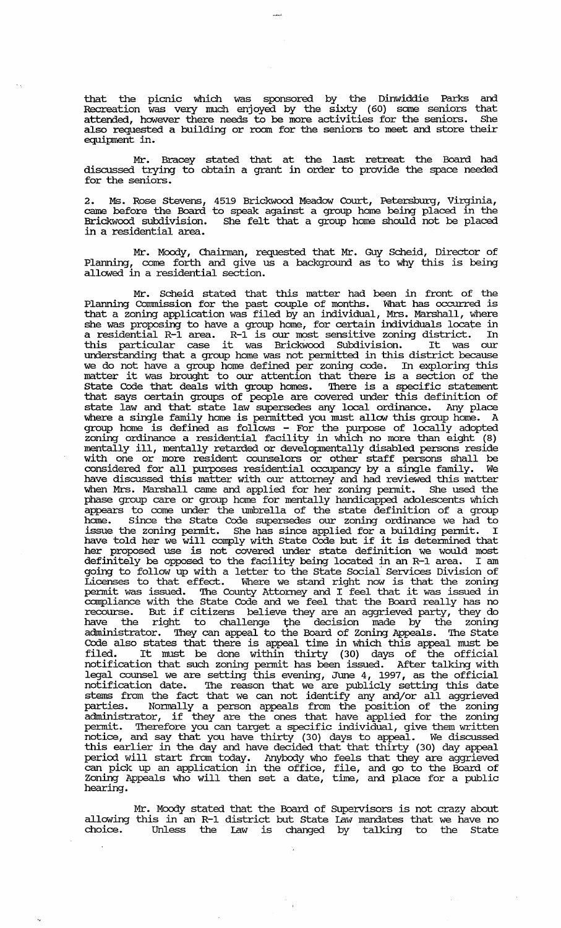that the picnic which was sponsored by the Dinwiddie Parks and Recreation was very much enjoyed by the sixty (60) some seniors that attended, however there needs to be more activities for the seniors. She also requested a building or room for the seniors to meet and store their equipment in.

Mr. Bracey stated that at the last retreat the Board had discussed trying to obtain a grant in order to provide the space needed for the seniors.

2. Ms. Rose stevens, came before the Board Brickwood subdivision. in a residential area. 4519 Brickwood Meadow Court, Petersburg, Virginia, to speak against a group home being placed in the She felt that a group home should not be placed

Mr. Moody, Chainnan, requested that Mr. Guy Scheid, Director of Plarming, come forth and give us a background as to why this is being allowed in a residential section.

Mr. Scheid stated that this matter had been in front of the Planning Commission for the past couple of months. What has occurred is that a zoning application was filed by an individual, Mrs. Marshall, where she was proposing to have a group home, for certain individuals locate in a residential R-1 area. R-1 is our most sensitive zoning district. In a residential R-1 alea. R-1 is our most sensitive zoning district. In<br>this particular case it was Brickwood Subdivision. It was our understanding that a group home was not pennitted in this district because we do not have a group home defined per zoning code. In exploring this matter it was brought to our attention that there is a section of the state Code that deals with group homes. There is a specific statement that says certain groups of people are covered under this definition of state law and that state law supersedes any local ordinance. Any place where a single family home is pennitted you must allow this group home. A group home is defined as follows - For the purpose of locally adopted zoning ordinance a residential facility in which no more than eight (8) mentally ill, mentally retarded or developmentally disabled persons reside with one or more resident counselors or other staff persons shall be considered for all purposes residential occupancy by a single family. We have discussed this matter with our attorney and had reviewed this matter when Mrs. Marshall came and applied for her zoning pennit. She used the phase group care or group home for mentally handicapped adolescents which appears to came under the umbrella of the state definition of a group home. Since the State Code supersedes our zoning ordinance we had to issue the zoning pennit. She has since applied for a building pennit. I have told her we will comply with State Code but if it is determined that her proposed use is not covered under state definition we would most definitely be opposed to the facility being located in an R-1 area. I am definitely be opposed to the facility being located in an R-1 area. I am<br>going to follow up with a letter to the State Social Services Division of Licenses to that effect. Where we stand right now is that the zoning pennit was issued. The County Attorney and I feel that it was issued in compliance with the state Code and we feel that the Board really has no comprished with the basic code and we reef that the board fearly has no have the right to challenge the decision made by the zoning administrator. They can appeal to the Board of Zoning Appeals. The State Code also states that there is appeal time in which this appeal must be filed. It must be done within thirty (30) days of the official notification that such zoning pennit has been issued. After talking with legal counsel we are setting this evening, June 4, 1997, as the official notification date. The reason that we are publicly setting this date stems from the fact that we can not identify any and/or all aggrieved parties. Nonually a person appeals from the position of the zoning administrator, if they are the ones that have applied for the zoning pennit. Therefore you can target a specific individual, give them written notice, and say that you have thirty (30) days to appeal. We discussed this earlier in the day and have decided that that thirty (30) day appeal period will start from today. Anybody who feels that they are aggrieved can pick up an application in the office, file, and go to the Board of Zoning Appeals who will then set a date, time, and place for a public hearing.

Mr. Moody stated that the Board of supervisors is not crazy about allowing this in an R-1 district but state law mandates that we have no Unless the Law is changed by talking to the State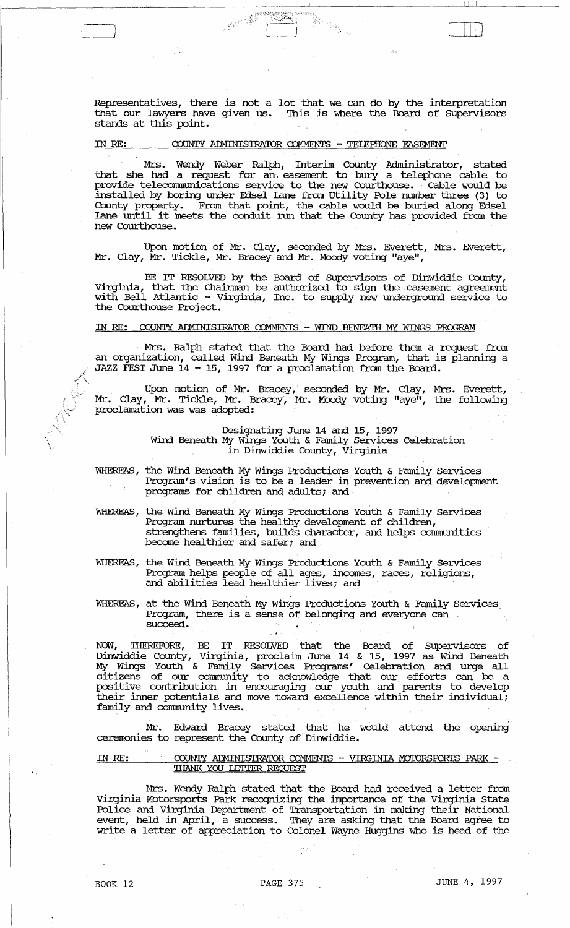Representatives, there is not a lot that we can do by the interpretation that our lawyers have given us. '!his is where the Board of SUpervisors stands at this point.

# IN RE: COUNTY ADMINISTRATOR COMMENTS - TELEPHONE EASEMENT

 $\begin{picture}(10,10) \put(0,0){\line(1,0){10}} \put(10,0){\line(1,0){10}} \put(10,0){\line(1,0){10}} \put(10,0){\line(1,0){10}} \put(10,0){\line(1,0){10}} \put(10,0){\line(1,0){10}} \put(10,0){\line(1,0){10}} \put(10,0){\line(1,0){10}} \put(10,0){\line(1,0){10}} \put(10,0){\line(1,0){10}} \put(10,0){\line(1,0){10}} \put(10,0){\line(1$ 

Mrs. Wendy Weber Ralph, Interim County Administrator, stated that she had a request for an, easement to bury a telephone cable to provide teleconnnunications service to the new Courthouse •. Cable would be installed by boring under Edsel Lane from utility Pole number three (3) to County property. From that point, the cable would be buried along Edsel Lane until it meets the conduit run that the County has provided from the new Courthouse.

Upon motion of Mr. Clay, seconded by Mrs. Everett, Mrs. Everett, Mr. Clay, Mr. Tickle, Mr. Bracey and Mr. Moody voting "aye",

BE IT RESOLVED by the Board of supervisors of Dinwiddie County, Virginia, that the Chairman be authorized to sign the easement agreement with Bell Atlantic - Virginia, Inc. to supply new underground service to the Courthouse Project.

# IN RE: COUNTY ADMINISTRATOR COMMENTS - WIND BENEATH MY WINGS PROGRAM

Mrs. Ralph stated that the Board had before them a request from an organization, called Wind Beneath My Wings Program, that is planning a JAZZ FEST June 14 - 15, 1997 fora proclamation from the Board.

Upon motion of Mr. Bracey, seconded by Mr. Clay, Mrs. Everett, Mr. Clay, Mr. Tickle, Mr. Bracey, Mr. Moody voting "aye", the following proclamation was was adopted:

> Designating June 14 and 15, 1997 Wind Beneath My Wings Youth & Family Services Celebration in Dinwiddie County, Virginia

WHEREAS, the Wind Beneath My Wings Productions Youth & Family Services Program's vision is to be a leader in prevention and development programs for children and adults; and

WHEREAS, the Wind Beneath My Wings Productions Youth & Family Services Program nurtures the healthy development of children, strengthens families, builds character, and helps communities become healthier and safer; and

WHEREAS, the Wind Beneath My Wings Productions Youth & Family services Program helps people of all ages, incomes, races, religions, and abilities lead healthier lives; and

WHEREAS, at the Wind Beneath My Wings Productions Youth & Family Services Program, there is a sense of belonging and everyone can succeed.

NOW, THEREFDRE, BE IT RESOLVED that the Board of Supervisors of Dinwiddie County, Virginia, proclaim June 14 & 15, 1997 as Wind Beneath My Wings Youth & Family Services Programs' Celebration and urge all citizens of our community to aclmowledge that our efforts can be a positive contribution in encouraging our youth and parents to develop their inner potentials and move toward excellence within their individual; family and community lives.

Mr. Edward Bracey stated that he would attend the opening ceremonies to represent the County of Dinwiddie.

#### IN RE: COUNTY ADMINISTRATOR COMMENTS - VIRGINIA MOTORSFORTS PARK -THANK YOU LEITER REQUEST

Mrs. Wendy Ralph stated that the Board had received a letter from Virginia Motorsports Park recognizing the importance of the Virginia State Police and Virginia Department of Transportation in making their National event, held in April, a success. They are asking that the Board agree to write a letter of appreciation to Colonel Wayne Huggins who is head of the

 $\sqrt{2}$ \  $\vee$  القاسط هار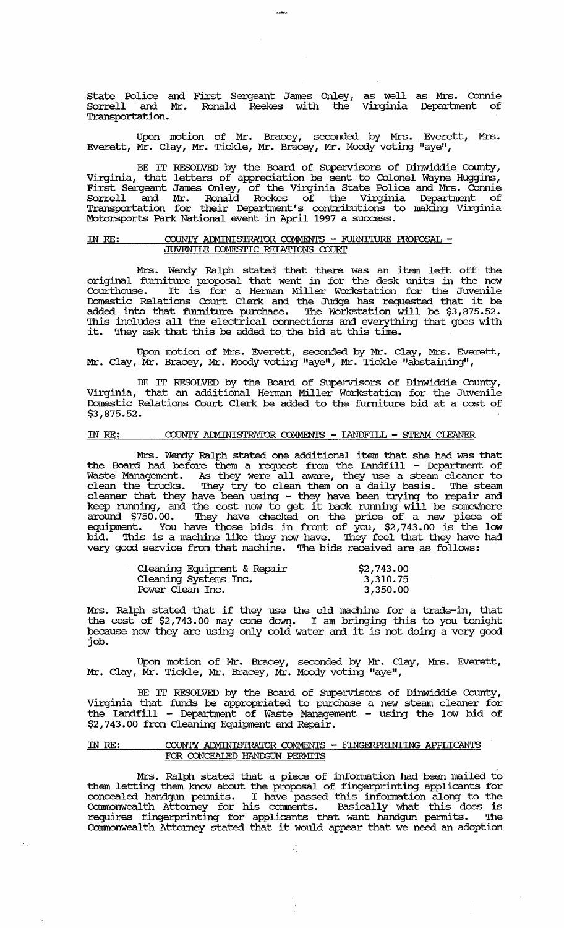State Police and First Sergeant James Onley, as well as Mrs. Connie Sorrell and Mr. Ronald Reekes with the Virginia Department of Transportation.

Upon motion of Mr. Bracey, seconded by Mrs. Everett, Mrs. Everett, Mr. Clay, Mr. Tickle, Mr. Bracey, Mr. Moody voting "aye",

BE IT RESOLVED by the Board of Supervisors of Dinwiddie County, Virginia, that letters of appreciation be sent to Colonel Wayne Huggins, First Sergeant James Onley, of the Virginia state Police and Mrs. Connie Sorrell and Mr. Ronald Reekes of the Virginia Department of Transportation for their Department's contributions to making Virginia Motorsports Park National event in April 1997 a success.

### IN RE: COUNTY ADMINISTRATOR COMMENTS - FURNITURE PROPOSAL -<u>JUVENIIE DOMESTIC REIATIONS COURT</u>

Mrs. Wendy Ralph stated that there was an item left off the original furniture proposal that went in for the desk units in the new Courthouse. It is for a Hennan Miller Workstation for the Juvenile Domestic Relations Court Clerk and the Judge has requested that it be added into that furniture purchase. The Workstation will be \$3,875.52. 'Ibis includes all the electrical connections and everything that goes with it. They ask that this be added to the bid at this time.

Upon motion of Mrs. Everett, seconded by Mr. Clay, Mrs. Everett, Mr. Clay, Mr. Bracey, Mr. Moody voting "aye", Mr. Tickle "abstaining",

BE IT RESOLVED by the Board of Supervisors of Dinwiddie County, Virginia, that an additional Hennan Miller Workstation for the Juvenile Domestic Relations Court Clerk be added to the furniture bid at a cost of \$3,875.52.

# IN RE: COUNTY ADMINISTRATOR COMMENTS - LANDFILL - STEAM CLEANER

Mrs. Wendy Ralph stated one additional item that she had was that the Board had before them a request from the Landfill - Department of Waste Management. As they were all aware, they use a steam cleaner to clean the trucks. They try to clean them on a daily basis. The steam cleaner that they have been using - they have been trying to repair and keep running, and the cost now to get it back running will be somewhere around \$750.00. They have checked on the price of a new piece of equipment. You have those bids in front of you, \$2,743.00 is the low bid. This is a machine like they now have. They feel that they have had very good service from that machine. The bids received are as follows:

| Cleaning Equipment & Repair | \$2,743.00 |
|-----------------------------|------------|
| Cleaning Systems Inc.       | 3,310.75   |
| Power Clean Inc.            | 3,350.00   |

Mrs. Ralph stated that if they use the old machine for a trade-in, that the cost of \$2,743.00 may come down. I am bringing this to you tonight because now they are using only cold water and it is not doing a very good job.

Upon motion of Mr. Bracey, seconded by Mr. Clay, Mrs. Everett, Mr. Clay, Mr. Tickle, Mr. Bracey, Mr. Moody voting "aye",

BE IT RESOLVED by the Board of Supervisors of Dinwiddie County, Virginia that funds be appropriated to purchase a new steam cleaner for the Landfill - Department of Waste Management - using the low bid of \$2,743.00 from Cleaning Equipment and Repair.

### IN RE:  $\text{COUNTY}$  ADMINISTRATOR COMMENTS - FINGERPRINTING APPLICANTS FOR CONCEALED HANDGUN PERMITS

Mrs. Ralph stated that a piece of information had been mailed to them letting them know about the proposal of fingerprinting applicants for concealed handgun permits. I have passed this information along to the Consecuted Handgar permitts. I have passed and intermitted atoms to did requires fingerprinting for applicants that want handgun permits. The Commonwealth Attorney stated that it would appear that we need an adoption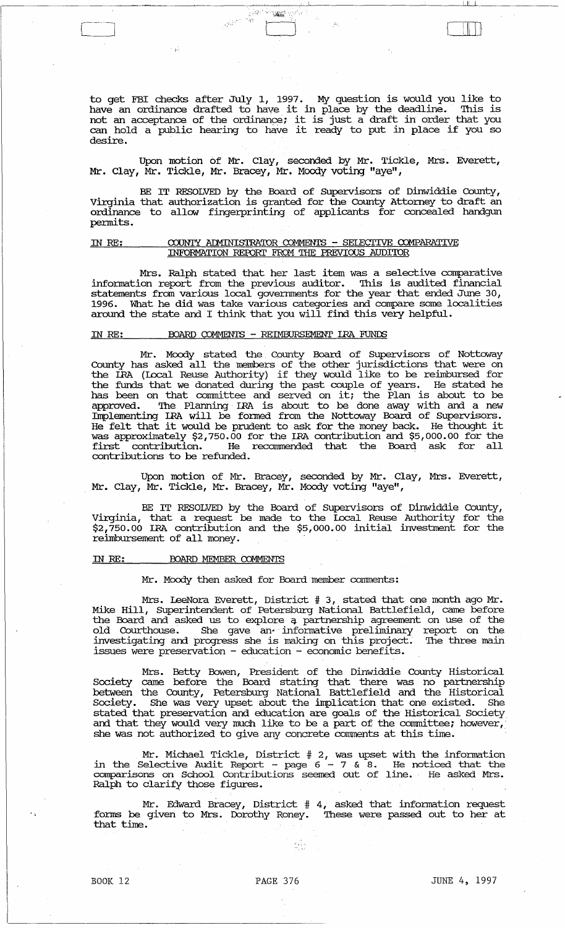to get FBI checks after July 1, 1997. My question is would you like to to get for thems after  $\frac{1}{2}$ ,  $\frac{1}{2}$ ,  $\frac{1}{2}$ ,  $\frac{1}{2}$ ,  $\frac{1}{2}$ ,  $\frac{1}{2}$ ,  $\frac{1}{2}$ ,  $\frac{1}{2}$ ,  $\frac{1}{2}$ ,  $\frac{1}{2}$ ,  $\frac{1}{2}$ ,  $\frac{1}{2}$ ,  $\frac{1}{2}$ ,  $\frac{1}{2}$ ,  $\frac{1}{2}$ ,  $\frac{1}{2}$ ,  $\frac{1}{2}$ ,  $\frac{1}{2}$ , not an acceptance of the ordinance; it is just a draft in order that you can hold a public hearing to have it ready to put in place if you so desire.

, CJ LIT]

.,,,,\~ ...... '

Upon motion of Mr. Clay, seconded by Mr. Tickle, Mrs. Everett, Mr. Clay, Mr. Tickle, Mr. Bracey, Mr. Moody voting "aye",

BE IT RESOLVED by the Board of SUpervisors of Dinwiddie County, Virginia that authorization is granted for the County Attorney to draft an ordinance to allow fingerprinting of applicants for concealed handgun permits.

#### IN RE: COUNTY ADMINISTRATOR COMMENTS - SELECTIVE COMPARATIVE INFORMATION REPORT FROM THE PREVIOUS AUDITOR

Mrs. Ralph stated that her last item was a selective comparative infonnation report from the previous auditor. '!his is audited financial statements from various local goverrrrnents for the year that ended June 30, What he did was take various categories and compare some localities around the state and I think that you will find this very helpful.

## IN RE: BOARD COMMENTS - REIMBURSEMENT IRA FUNDS

Mr. Moody stated the cpunty Board of SUpervisors of Nottoway County has asked all the members of the other jurisdictions that were on the IRA (local Reuse Authority) if they would like to be rebnbursed for the funds that we donated during the past couple of years. He stated he has been on that committee and served on it; the Plan is about to be approved. The Planning IRA is about to be done away with and a new Irrplementing IRA will be fonned from the Nottoway Board of supervisors. He felt that it would be prudent to ask for the money back. He thought it was approximately \$2,750.00 for the IRA contribution and \$5,000.00 for the first contribution. He reconunended that the Board ask for all contributions to be refunded.

Upon motion of Mr. Bracey, seconded by Mr. Clay, Mrs. Everett, Mr. Clay, Mr. Tickle, Mr. Bracey, Mr. Moody voting "aye",

BE IT RESOLVED by the Board of Supervisors of Dinwiddie County, Virginia, that a request be made to the local Reuse Authority for the \$2,750.00 IRA contribution and the \$5,000.00 initial investment for the reimbursement of all money.

#### IN RE: BOARD MEMBER COMMENTS

Mr. Moody then asked for Board member comments:

Mrs. LeeNora Everett, District # 3, stated that one month ago Mr. Mike Hill, SUperintendent of Petersburg National Battlefield, came before the Board and asked us to explore q. partnership agreement on use of the old Courthouse. She gave an informative preliminary report on the investigating and progress she is making on this project. '!he three main issues were preservation - education - economic benefits.

Mrs. Betty Bowen, President of the Dinwiddie County Historical society came before the Board stating that there was no partnership between the County, Petersburg National Battlefield and the Historical Society. She was very upset about the implication that one existed. She stated that preservation and education are goals of the Historical society and that they would very much like to be a part of the committee; however, she was not authorized to give any concrete comments at this time.

Mr. Michael Tickle, District # 2, was upset with the infonnation in the Selective Audit Report - page 6 - 7 & 8. He noticed that the comparisons on School contributions seemed out of line. He asked Mrs. Ralph to clarify those figures.

Mr. Edward Bracey, District # 4, asked that infonnation request fonns be given to Mrs. Dorothy Roney. '!hese were passed out to her at that time.

 $\mathcal{L}_{\mathcal{L}}$ 

 $\ddot{\phantom{a}}$ 

'I' I